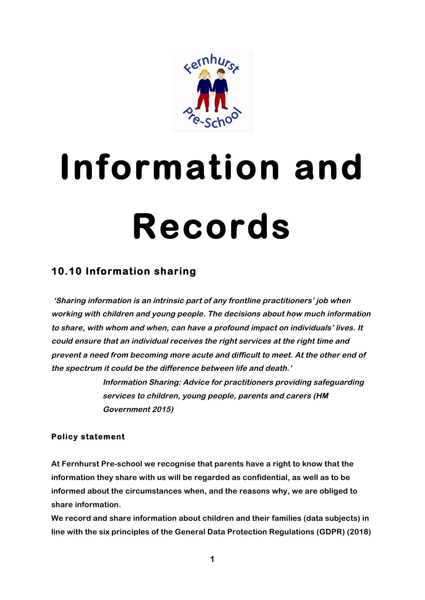

# **Information and Records**

## **10.10 Information sharing**

**'Sharing information is an intrinsic part of any frontline practitioners' job when working with children and young people. The decisions about how much information to share, with whom and when, can have a profound impact on individuals' lives. It could ensure that an individual receives the right services at the right time and prevent a need from becoming more acute and difficult to meet. At the other end of the spectrum it could be the difference between life and death.'**

> **Information Sharing: Advice for practitioners providing safeguarding services to children, young people, parents and carers (HM Government 2015)**

### **Policy statement**

**At Fernhurst Pre-school we recognise that parents have a right to know that the information they share with us will be regarded as confidential, as well as to be informed about the circumstances when, and the reasons why, we are obliged to share information.**

**We record and share information about children and their families (data subjects) in line with the six principles of the General Data Protection Regulations (GDPR) (2018)**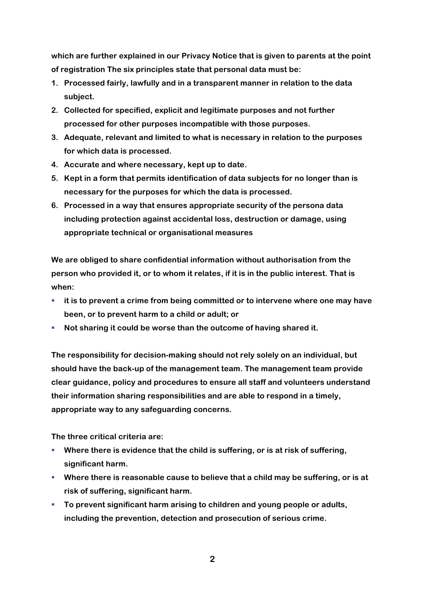**which are further explained in our Privacy Notice that is given to parents at the point of registration The six principles state that personal data must be:**

- **1. Processed fairly, lawfully and in a transparent manner in relation to the data subject.**
- **2. Collected for specified, explicit and legitimate purposes and not further processed for other purposes incompatible with those purposes.**
- **3. Adequate, relevant and limited to what is necessary in relation to the purposes for which data is processed.**
- **4. Accurate and where necessary, kept up to date.**
- **5. Kept in a form that permits identification of data subjects for no longer than is necessary for the purposes for which the data is processed.**
- **6. Processed in a way that ensures appropriate security of the persona data including protection against accidental loss, destruction or damage, using appropriate technical or organisational measures**

**We are obliged to share confidential information without authorisation from the person who provided it, or to whom it relates, if it is in the public interest. That is when:**

- $\blacksquare$  it is to prevent a crime from being committed or to intervene where one may have **been, or to prevent harm to a child or adult; or**
- § **Not sharing it could be worse than the outcome of having shared it.**

**The responsibility for decision-making should not rely solely on an individual, but should have the back-up of the management team. The management team provide clear guidance, policy and procedures to ensure all staff and volunteers understand their information sharing responsibilities and are able to respond in a timely, appropriate way to any safeguarding concerns.**

**The three critical criteria are:**

- Where there is evidence that the child is suffering, or is at risk of suffering, **significant harm.**
- Where there is reasonable cause to believe that a child may be suffering, or is at **risk of suffering, significant harm.**
- **To prevent significant harm arising to children and young people or adults, including the prevention, detection and prosecution of serious crime.**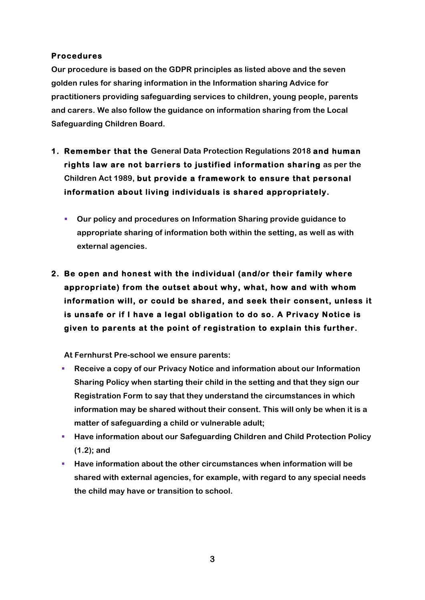#### **Procedures**

**Our procedure is based on the GDPR principles as listed above and the seven golden rules for sharing information in the Information sharing Advice for practitioners providing safeguarding services to children, young people, parents and carers. We also follow the guidance on information sharing from the Local Safeguarding Children Board.**

- **1. Remember that the General Data Protection Regulations 2018 and human rights law are not barriers to justified information sharing as per the Children Act 1989, but provide a framework to ensure that personal information about living individuals is shared appropriately.** 
	- § **Our policy and procedures on Information Sharing provide guidance to appropriate sharing of information both within the setting, as well as with external agencies.**
- **2. Be open and honest with the individual (and/or their family where appropriate) from the outset about why, what, how and with whom information will, or could be shared, and seek their consent, unless it is unsafe or if I have a legal obligation to do so. A Privacy Notice is given to parents at the point of registration to explain this further.**

**At Fernhurst Pre-school we ensure parents:**

- § **Receive a copy of our Privacy Notice and information about our Information Sharing Policy when starting their child in the setting and that they sign our Registration Form to say that they understand the circumstances in which information may be shared without their consent. This will only be when it is a matter of safeguarding a child or vulnerable adult;**
- § **Have information about our Safeguarding Children and Child Protection Policy (1.2); and**
- § **Have information about the other circumstances when information will be shared with external agencies, for example, with regard to any special needs the child may have or transition to school.**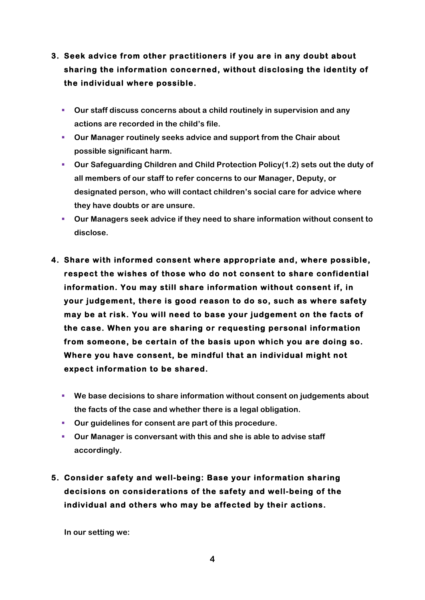- **3. Seek advice from other practitioners if you are in any doubt about sharing the information concerned, without disclosing the identity of the individual where possible.** 
	- § **Our staff discuss concerns about a child routinely in supervision and any actions are recorded in the child's file.**
	- § **Our Manager routinely seeks advice and support from the Chair about possible significant harm.**
	- § **Our Safeguarding Children and Child Protection Policy(1.2) sets out the duty of all members of our staff to refer concerns to our Manager, Deputy, or designated person, who will contact children's social care for advice where they have doubts or are unsure.**
	- § **Our Managers seek advice if they need to share information without consent to disclose.**
- **4. Share with informed consent where appropriate and, where possible, respect the wishes of those who do not consent to share confidential information. You may still share information without consent if, in your judgement, there is good reason to do so, such as where safety may be at risk. You will need to base your judgement on the facts of the case. When you are sharing or requesting personal information from someone, be certain of the basis upon which you are doing so. Where you have consent, be mindful that an individual might not expect information to be shared.**
	- § **We base decisions to share information without consent on judgements about the facts of the case and whether there is a legal obligation.**
	- § **Our guidelines for consent are part of this procedure.**
	- § **Our Manager is conversant with this and she is able to advise staff accordingly.**
- **5. Consider safety and well-being: Base your information sharing decisions on considerations of the safety and well-being of the individual and others who may be affected by their actions.**

**In our setting we:**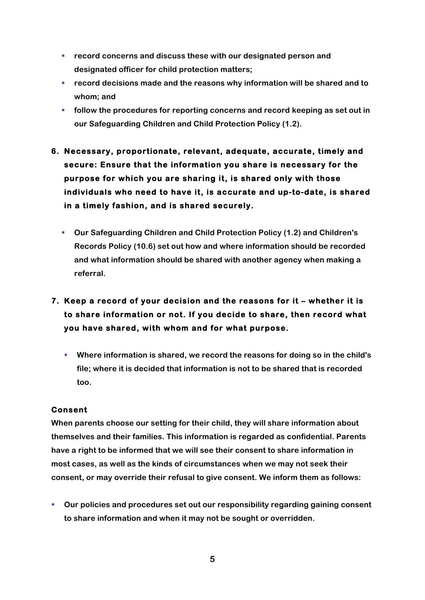- § **record concerns and discuss these with our designated person and designated officer for child protection matters;**
- § **record decisions made and the reasons why information will be shared and to whom; and**
- § **follow the procedures for reporting concerns and record keeping as set out in our Safeguarding Children and Child Protection Policy (1.2).**
- **6. Necessary, proportionate, relevant, adequate, accurate, timely and secure: Ensure that the information you share is necessary for the purpose for which you are sharing it, is shared only with those individuals who need to have it, is accurate and up-to-date, is shared in a timely fashion, and is shared securely.** 
	- § **Our Safeguarding Children and Child Protection Policy (1.2) and Children's Records Policy (10.6) set out how and where information should be recorded and what information should be shared with another agency when making a referral.**
- **7. Keep a record of your decision and the reasons for it whether it is to share information or not. If you decide to share, then record what you have shared, with whom and for what purpose.** 
	- § **Where information is shared, we record the reasons for doing so in the child's file; where it is decided that information is not to be shared that is recorded too.**

#### **Consent**

**When parents choose our setting for their child, they will share information about themselves and their families. This information is regarded as confidential. Parents have a right to be informed that we will see their consent to share information in most cases, as well as the kinds of circumstances when we may not seek their consent, or may override their refusal to give consent. We inform them as follows:**

§ **Our policies and procedures set out our responsibility regarding gaining consent to share information and when it may not be sought or overridden.**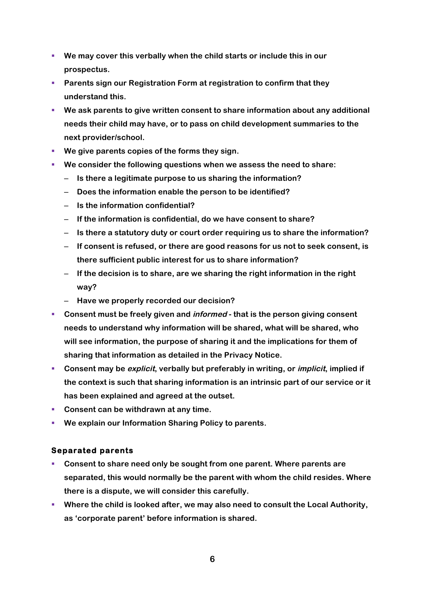- § **We may cover this verbally when the child starts or include this in our prospectus.**
- § **Parents sign our Registration Form at registration to confirm that they understand this.**
- § **We ask parents to give written consent to share information about any additional needs their child may have, or to pass on child development summaries to the next provider/school.**
- **We give parents copies of the forms they sign.**
- § **We consider the following questions when we assess the need to share:**
	- **Is there a legitimate purpose to us sharing the information?**
	- **Does the information enable the person to be identified?**
	- **Is the information confidential?**
	- **If the information is confidential, do we have consent to share?**
	- **Is there a statutory duty or court order requiring us to share the information?**
	- **If consent is refused, or there are good reasons for us not to seek consent, is there sufficient public interest for us to share information?**
	- **If the decision is to share, are we sharing the right information in the right way?**
	- **Have we properly recorded our decision?**
- § **Consent must be freely given and informed - that is the person giving consent needs to understand why information will be shared, what will be shared, who will see information, the purpose of sharing it and the implications for them of sharing that information as detailed in the Privacy Notice.**
- § **Consent may be explicit, verbally but preferably in writing, or implicit, implied if the context is such that sharing information is an intrinsic part of our service or it has been explained and agreed at the outset.**
- Consent can be withdrawn at any time.
- We explain our Information Sharing Policy to parents.

#### **Separated parents**

- § **Consent to share need only be sought from one parent. Where parents are separated, this would normally be the parent with whom the child resides. Where there is a dispute, we will consider this carefully.**
- § **Where the child is looked after, we may also need to consult the Local Authority, as 'corporate parent' before information is shared.**